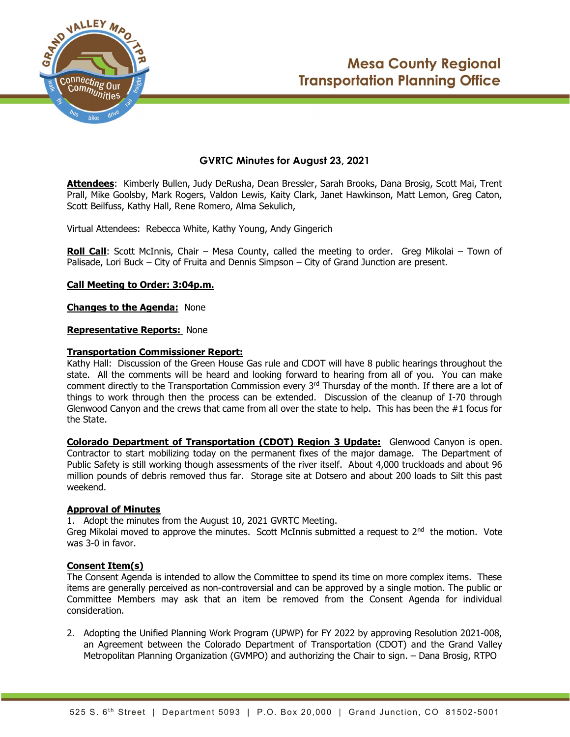



# GVRTC Minutes for August 23, 2021

Attendees: Kimberly Bullen, Judy DeRusha, Dean Bressler, Sarah Brooks, Dana Brosig, Scott Mai, Trent Prall, Mike Goolsby, Mark Rogers, Valdon Lewis, Kaity Clark, Janet Hawkinson, Matt Lemon, Greg Caton, Scott Beilfuss, Kathy Hall, Rene Romero, Alma Sekulich,

Virtual Attendees: Rebecca White, Kathy Young, Andy Gingerich

**Roll Call**: Scott McInnis, Chair – Mesa County, called the meeting to order. Greg Mikolai – Town of Palisade, Lori Buck – City of Fruita and Dennis Simpson – City of Grand Junction are present.

## Call Meeting to Order: 3:04p.m.

Changes to the Agenda: None

#### Representative Reports: None

#### Transportation Commissioner Report:

Kathy Hall: Discussion of the Green House Gas rule and CDOT will have 8 public hearings throughout the state. All the comments will be heard and looking forward to hearing from all of you. You can make comment directly to the Transportation Commission every  $3<sup>rd</sup>$  Thursday of the month. If there are a lot of things to work through then the process can be extended. Discussion of the cleanup of I-70 through Glenwood Canyon and the crews that came from all over the state to help. This has been the  $#1$  focus for the State.

Colorado Department of Transportation (CDOT) Region 3 Update: Glenwood Canyon is open. Contractor to start mobilizing today on the permanent fixes of the major damage. The Department of Public Safety is still working though assessments of the river itself. About 4,000 truckloads and about 96 million pounds of debris removed thus far. Storage site at Dotsero and about 200 loads to Silt this past weekend.

#### Approval of Minutes

1. Adopt the minutes from the August 10, 2021 GVRTC Meeting.

Greg Mikolai moved to approve the minutes. Scott McInnis submitted a request to  $2<sup>nd</sup>$  the motion. Vote was 3-0 in favor.

# Consent Item(s)

The Consent Agenda is intended to allow the Committee to spend its time on more complex items. These items are generally perceived as non-controversial and can be approved by a single motion. The public or Committee Members may ask that an item be removed from the Consent Agenda for individual consideration.

2. Adopting the Unified Planning Work Program (UPWP) for FY 2022 by approving Resolution 2021‐008, an Agreement between the Colorado Department of Transportation (CDOT) and the Grand Valley Metropolitan Planning Organization (GVMPO) and authorizing the Chair to sign. – Dana Brosig, RTPO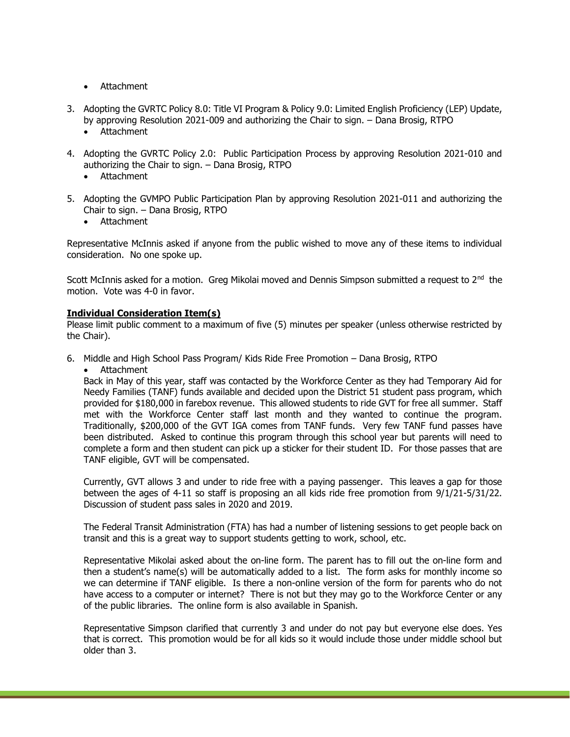- Attachment
- 3. Adopting the GVRTC Policy 8.0: Title VI Program & Policy 9.0: Limited English Proficiency (LEP) Update, by approving Resolution 2021-009 and authorizing the Chair to sign. – Dana Brosig, RTPO
	- Attachment
- 4. Adopting the GVRTC Policy 2.0: Public Participation Process by approving Resolution 2021-010 and authorizing the Chair to sign. – Dana Brosig, RTPO
	- Attachment
- 5. Adopting the GVMPO Public Participation Plan by approving Resolution 2021-011 and authorizing the Chair to sign. – Dana Brosig, RTPO
	- Attachment

Representative McInnis asked if anyone from the public wished to move any of these items to individual consideration. No one spoke up.

Scott McInnis asked for a motion. Greg Mikolai moved and Dennis Simpson submitted a request to 2<sup>nd</sup> the motion. Vote was 4-0 in favor.

## Individual Consideration Item(s)

Please limit public comment to a maximum of five (5) minutes per speaker (unless otherwise restricted by the Chair).

- 6. Middle and High School Pass Program/ Kids Ride Free Promotion Dana Brosig, RTPO
	- Attachment

Back in May of this year, staff was contacted by the Workforce Center as they had Temporary Aid for Needy Families (TANF) funds available and decided upon the District 51 student pass program, which provided for \$180,000 in farebox revenue. This allowed students to ride GVT for free all summer. Staff met with the Workforce Center staff last month and they wanted to continue the program. Traditionally, \$200,000 of the GVT IGA comes from TANF funds. Very few TANF fund passes have been distributed. Asked to continue this program through this school year but parents will need to complete a form and then student can pick up a sticker for their student ID. For those passes that are TANF eligible, GVT will be compensated.

Currently, GVT allows 3 and under to ride free with a paying passenger. This leaves a gap for those between the ages of 4-11 so staff is proposing an all kids ride free promotion from 9/1/21-5/31/22. Discussion of student pass sales in 2020 and 2019.

The Federal Transit Administration (FTA) has had a number of listening sessions to get people back on transit and this is a great way to support students getting to work, school, etc.

Representative Mikolai asked about the on-line form. The parent has to fill out the on-line form and then a student's name(s) will be automatically added to a list. The form asks for monthly income so we can determine if TANF eligible. Is there a non-online version of the form for parents who do not have access to a computer or internet? There is not but they may go to the Workforce Center or any of the public libraries. The online form is also available in Spanish.

Representative Simpson clarified that currently 3 and under do not pay but everyone else does. Yes that is correct. This promotion would be for all kids so it would include those under middle school but older than 3.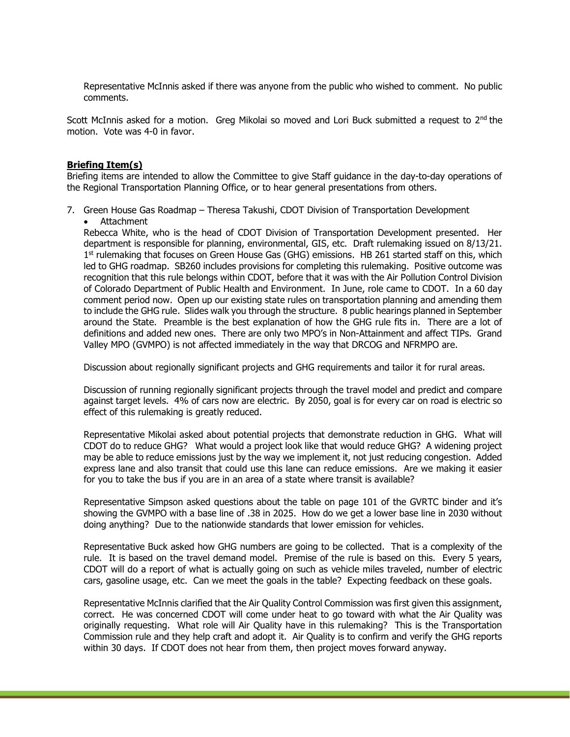Representative McInnis asked if there was anyone from the public who wished to comment. No public comments.

Scott McInnis asked for a motion. Greg Mikolai so moved and Lori Buck submitted a request to  $2^{nd}$  the motion. Vote was 4-0 in favor.

#### Briefing Item(s)

Briefing items are intended to allow the Committee to give Staff guidance in the day-to-day operations of the Regional Transportation Planning Office, or to hear general presentations from others.

- 7. Green House Gas Roadmap Theresa Takushi, CDOT Division of Transportation Development
	- Attachment

Rebecca White, who is the head of CDOT Division of Transportation Development presented. Her department is responsible for planning, environmental, GIS, etc. Draft rulemaking issued on 8/13/21. 1<sup>st</sup> rulemaking that focuses on Green House Gas (GHG) emissions. HB 261 started staff on this, which led to GHG roadmap. SB260 includes provisions for completing this rulemaking. Positive outcome was recognition that this rule belongs within CDOT, before that it was with the Air Pollution Control Division of Colorado Department of Public Health and Environment. In June, role came to CDOT. In a 60 day comment period now. Open up our existing state rules on transportation planning and amending them to include the GHG rule. Slides walk you through the structure. 8 public hearings planned in September around the State. Preamble is the best explanation of how the GHG rule fits in. There are a lot of definitions and added new ones. There are only two MPO's in Non-Attainment and affect TIPs. Grand Valley MPO (GVMPO) is not affected immediately in the way that DRCOG and NFRMPO are.

Discussion about regionally significant projects and GHG requirements and tailor it for rural areas.

Discussion of running regionally significant projects through the travel model and predict and compare against target levels. 4% of cars now are electric. By 2050, goal is for every car on road is electric so effect of this rulemaking is greatly reduced.

Representative Mikolai asked about potential projects that demonstrate reduction in GHG. What will CDOT do to reduce GHG? What would a project look like that would reduce GHG? A widening project may be able to reduce emissions just by the way we implement it, not just reducing congestion. Added express lane and also transit that could use this lane can reduce emissions. Are we making it easier for you to take the bus if you are in an area of a state where transit is available?

Representative Simpson asked questions about the table on page 101 of the GVRTC binder and it's showing the GVMPO with a base line of .38 in 2025. How do we get a lower base line in 2030 without doing anything? Due to the nationwide standards that lower emission for vehicles.

Representative Buck asked how GHG numbers are going to be collected. That is a complexity of the rule. It is based on the travel demand model. Premise of the rule is based on this. Every 5 years, CDOT will do a report of what is actually going on such as vehicle miles traveled, number of electric cars, gasoline usage, etc. Can we meet the goals in the table? Expecting feedback on these goals.

Representative McInnis clarified that the Air Quality Control Commission was first given this assignment, correct. He was concerned CDOT will come under heat to go toward with what the Air Quality was originally requesting. What role will Air Quality have in this rulemaking? This is the Transportation Commission rule and they help craft and adopt it. Air Quality is to confirm and verify the GHG reports within 30 days. If CDOT does not hear from them, then project moves forward anyway.